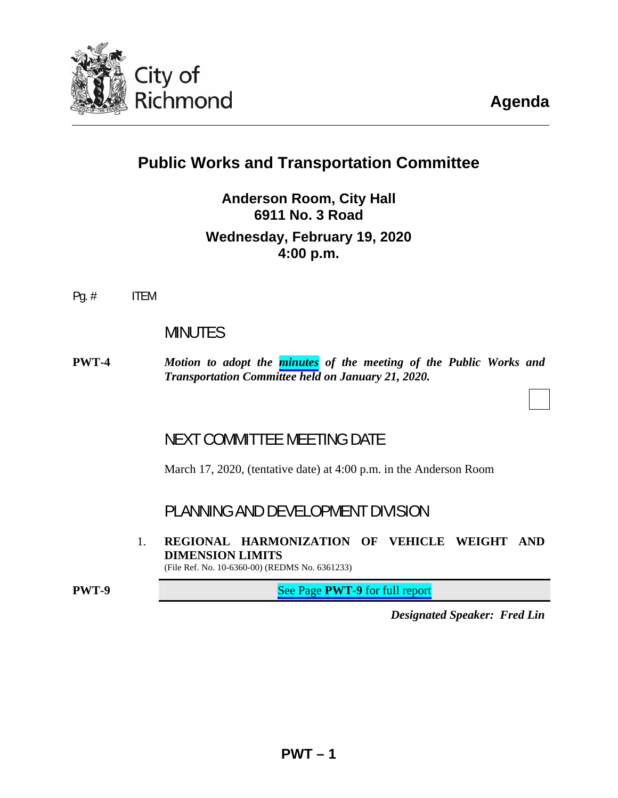

# **Public Works and Transportation Committee**

**Anderson Room, City Hall 6911 No. 3 Road Wednesday, February 19, 2020 4:00 p.m.**

Pg. # ITEM

## MINUTES

**PWT-4** *Motion to adopt the [minutes](#page-3-0) of the meeting of the Public Works and Transportation Committee held on January 21, 2020.* 

## NEXT COMMITTEE MEETING DATE

March 17, 2020, (tentative date) at 4:00 p.m. in the Anderson Room

PLANNING AND DEVELOPMENT DIVISION

1. **REGIONAL HARMONIZATION OF VEHICLE WEIGHT AND DIMENSION LIMITS** 

(File Ref. No. 10-6360-00) (REDMS No. 6361233)

**PWT-9** See Page **PWT-9** for full report

*Designated Speaker: Fred Lin*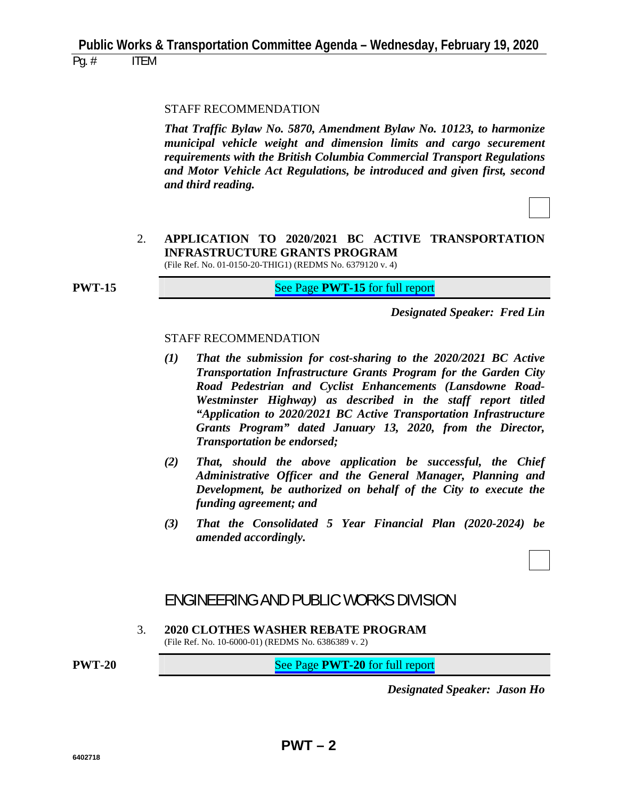#### STAFF RECOMMENDATION

 *That Traffic Bylaw No. 5870, Amendment Bylaw No. 10123, to harmonize municipal vehicle weight and dimension limits and cargo securement requirements with the British Columbia Commercial Transport Regulations and Motor Vehicle Act Regulations, be introduced and given first, second and third reading.* 

#### 2. **APPLICATION TO 2020/2021 BC ACTIVE TRANSPORTATION INFRASTRUCTURE GRANTS PROGRAM**  (File Ref. No. 01-0150-20-THIG1) (REDMS No. 6379120 v. 4)

**PWT-15 See Page PWT-15** for full report

*Designated Speaker: Fred Lin*

#### STAFF RECOMMENDATION

- *(1) That the submission for cost-sharing to the 2020/2021 BC Active Transportation Infrastructure Grants Program for the Garden City Road Pedestrian and Cyclist Enhancements (Lansdowne Road-Westminster Highway) as described in the staff report titled "Application to 2020/2021 BC Active Transportation Infrastructure Grants Program" dated January 13, 2020, from the Director, Transportation be endorsed;*
- *(2) That, should the above application be successful, the Chief Administrative Officer and the General Manager, Planning and Development, be authorized on behalf of the City to execute the funding agreement; and*
- *(3) That the Consolidated 5 Year Financial Plan (2020-2024) be amended accordingly.*

## ENGINEERING AND PUBLIC WORKS DIVISION

3. **2020 CLOTHES WASHER REBATE PROGRAM**  (File Ref. No. 10-6000-01) (REDMS No. 6386389 v. 2)

**PWT-20** See Page **PWT-20** for full report

*Designated Speaker: Jason Ho*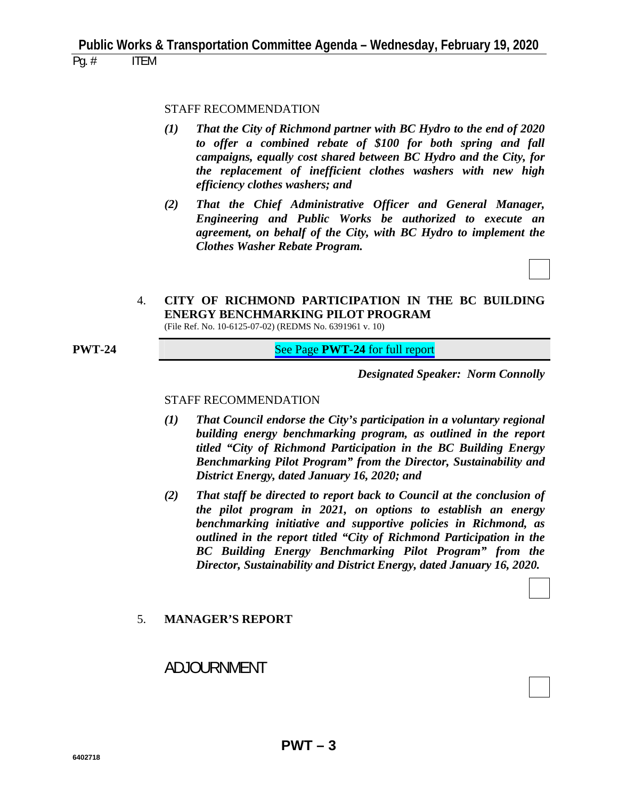#### STAFF RECOMMENDATION

- *(1) That the City of Richmond partner with BC Hydro to the end of 2020 to offer a combined rebate of \$100 for both spring and fall campaigns, equally cost shared between BC Hydro and the City, for the replacement of inefficient clothes washers with new high efficiency clothes washers; and*
- *(2) That the Chief Administrative Officer and General Manager, Engineering and Public Works be authorized to execute an agreement, on behalf of the City, with BC Hydro to implement the Clothes Washer Rebate Program.*

4. **CITY OF RICHMOND PARTICIPATION IN THE BC BUILDING ENERGY BENCHMARKING PILOT PROGRAM**  (File Ref. No. 10-6125-07-02) (REDMS No. 6391961 v. 10)

**PWT-24 See Page PWT-24** for full report

*Designated Speaker: Norm Connolly*

#### STAFF RECOMMENDATION

- *(1) That Council endorse the City's participation in a voluntary regional building energy benchmarking program, as outlined in the report titled "City of Richmond Participation in the BC Building Energy Benchmarking Pilot Program" from the Director, Sustainability and District Energy, dated January 16, 2020; and*
- *(2) That staff be directed to report back to Council at the conclusion of the pilot program in 2021, on options to establish an energy benchmarking initiative and supportive policies in Richmond, as outlined in the report titled "City of Richmond Participation in the BC Building Energy Benchmarking Pilot Program" from the Director, Sustainability and District Energy, dated January 16, 2020.*

#### 5. **MANAGER'S REPORT**

## ADJOURNMENT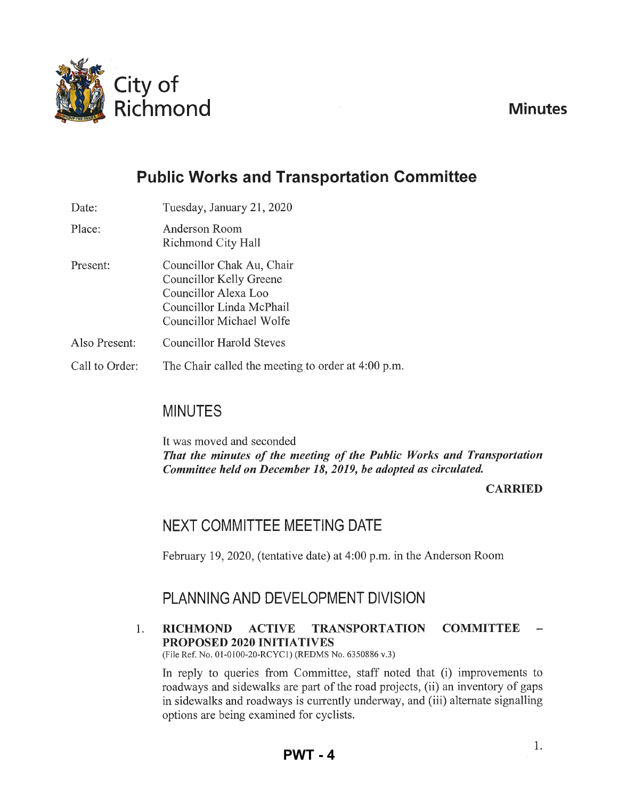<span id="page-3-0"></span>

**Minutes** 

# **Public Works and Transportation Committee**

| Date:          | Tuesday, January 21, 2020                                                                                                            |
|----------------|--------------------------------------------------------------------------------------------------------------------------------------|
| Place:         | Anderson Room<br>Richmond City Hall                                                                                                  |
| Present:       | Councillor Chak Au, Chair<br>Councillor Kelly Greene<br>Councillor Alexa Loo<br>Councillor Linda McPhail<br>Councillor Michael Wolfe |
| Also Present:  | <b>Councillor Harold Steves</b>                                                                                                      |
| Call to Order: | The Chair called the meeting to order at 4:00 p.m.                                                                                   |
|                |                                                                                                                                      |

## MINUTES

It was moved and seconded *That the minutes of the meeting of the Public Works and Transportation Committee held on December 18, 2019, be adopted as circulated.* 

## **CARRIED**

## NEXT COMMITTEE MEETING DATE

February 19, 2020, (tentative date) at 4:00 p.m. in the Anderson Room

## PLANNING AND DEVELOPMENT DIVISION

1. RICHMOND ACTIVE TRANSPORTATION COMMITTEE PROPOSED 2020 INITIATIVES

(File Ref. No. 01 -0100-20-RCYCI) (REDMS No. 6350886 v.3)

In reply to queries from Committee, staff noted that (i) improvements to roadways and sidewalks are part of the road projects, (ii) an inventory of gaps in sidewalks and roadways is currently underway, and (iii) alternate signalling options are being examined for cyclists.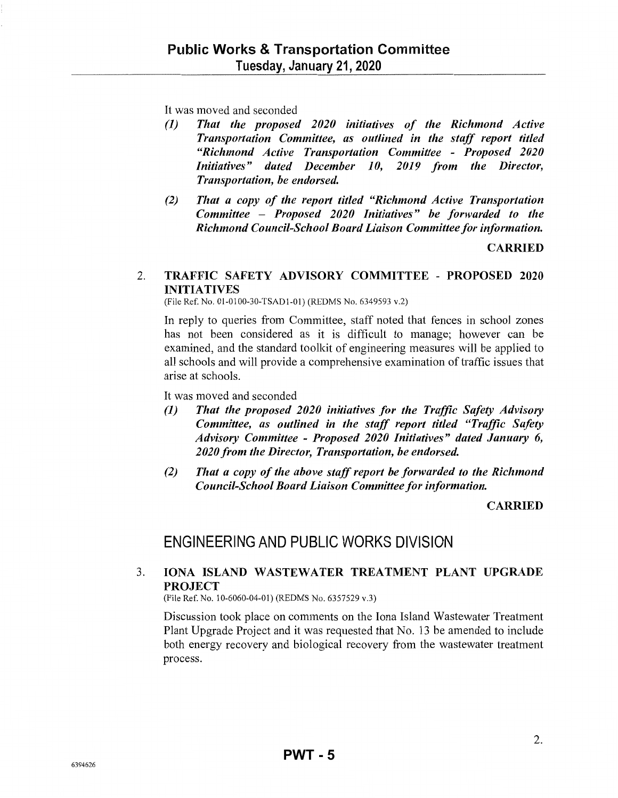It was moved and seconded

- *(1) That the proposed 2020 initiatives of the Richmond Active Transportation Committee, as outlined in the staff report titled "Richmond Active Transportation Committee* - *Proposed 2020 Initiatives" dated December 10, 2019 from the Director, Transportation, be endorsed.*
- *(2) That a copy of the report titled "Richmond Active Transportation Committee* - *Proposed 2020 Initiatives" be forwarded to the Richmond Council-School Board Liaison Committee for information.*

**CARRIED** 

#### 2. TRAFFIC SAFETY ADVISORY COMMITTEE - PROPOSED 2020 INITIATIVES

(File Ref. No. 01-0100-30-TSAD1-01) (REDMS No. 6349593 v.2)

In reply to queries from Committee, staff noted that fences in school zones has not been considered as it is difficult to manage; however can be examined, and the standard toolkit of engineering measures will be applied to all schools and will provide a comprehensive examination of traffic issues that arise at schools.

It was moved and seconded

- *(1) That the proposed 2020 initiatives for the Traffic Safety Advisory Committee, as outlined in the staff report titled "Traffic Safety Advisory Committee* - *Proposed 2020 Initiatives" dated Janumy 6, 2020 from the Director, Transportation, be endorsed.*
- *(2) That a copy of the above staff report be forwarded to the Richmond Council-School Board Liaison Committee for information.*

#### **CARRIED**

## ENGINEERING AND PUBLIC WORKS DIVISION

## 3. IONA ISLAND WASTEWATER TREATMENT PLANT UPGRADE PROJECT

(File Ref. No. 10-6060-04-01) (REDMS No. 6357529 v.3)

Discussion took place on comments on the Iona Island Wastewater Treatment Plant Upgrade Project and it was requested that No. 13 be amended to include both energy recovery and biological recovery from the wastewater treatment process.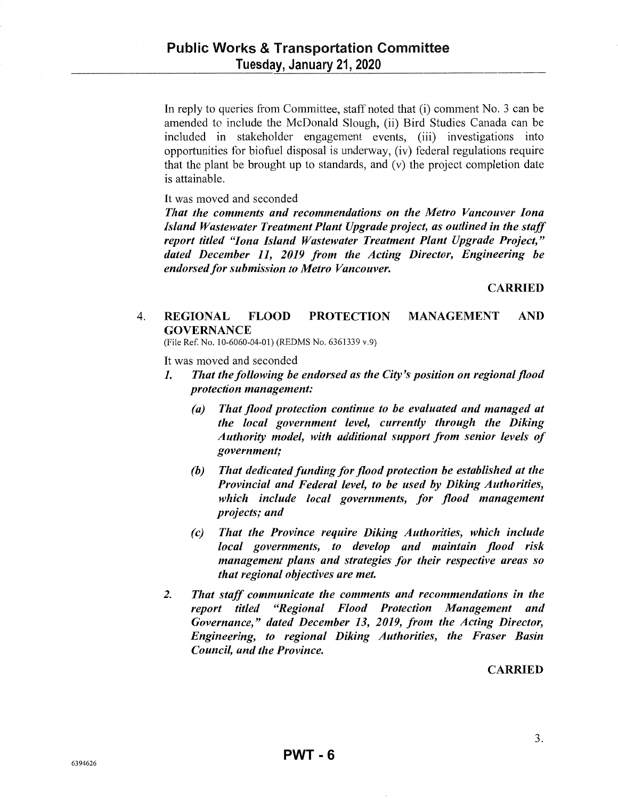In reply to queries from Committee, staff noted that (i) comment No. 3 can be amended to include the McDonald Slough, (ii) Bird Studies Canada can be included in stakeholder engagement events, (iii) investigations into opportunities for biofuel disposal is underway, (iv) federal regulations require that the plant be brought up to standards, and (v) the project completion date is attainable.

It was moved and seconded

*That the comments and recommendations on the Metro Vancouver Iona Island Wastewater Treatment Plant Upgrade project, as outlined in the staff report titled "Iona Island Wastewater Treatment Plant Upgrade Project," dated December 11, 2019 from the Acting Director, Engineering be endorsed for submission to Metro Vancouver.* 

CARRIED

## 4. REGIONAL FLOOD PROTECTION MANAGEMENT AND **GOVERNANCE**

(File Ref. No. 10-6060-04-01) (REDMS No. 6361339 v.9)

It was moved and seconded

- 1. *That the following be endorsed as the City's position on regional flood protection management:* 
	- *(a) That flood protection continue to be evaluated and managed at the local government level, currently through the Diking Authority model, with additional support from senior levels of government;*
	- *(b) That dedicated funding for flood protection be established at the Provincial and Federal level, to be used by Diking Authorities, which include local governments, for flood management projects; and*
	- *(c) That the Province require Diking Authorities, which include local governments, to develop and maintain flood risk management plans and strategies for their respective areas so that regional objectives are met.*
- *2. That staff communicate the comments and recommendations in the report titled "Regional Flood Protection Management and Governance," dated December 13, 2019, from the Acting Director, Engineering, to regional Diking Authorities, the Fraser Basin Council, and the Province.*

## CARRIED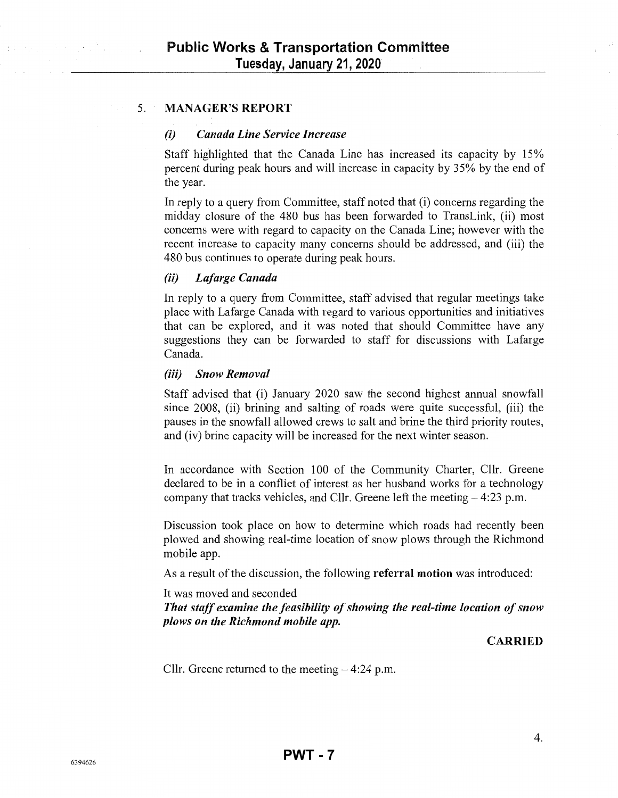#### 5. MANAGER'S REPORT

#### *(i) Canada Line Service Increase*

Staff highlighted that the Canada Line has increased its capacity by 15% percent during peak hours and will increase in capacity by 35% by the end of the year.

In reply to a query from Committee, staff noted that (i) concerns regarding the midday closure of the 480 bus has been forwarded to TransLink, (ii) most concerns were with regard to capacity on the Canada Line; however with the recent increase to capacity many concerns should be addressed, and (iii) the 480 bus continues to operate during peak hours.

#### *(ii) Lafarge Canada*

In reply to a query from Committee, staff advised that regular meetings take place with Lafarge Canada with regard to various opportunities and initiatives that can be explored, and it was noted that should Committee have any suggestions they can be forwarded to staff for discussions with Lafarge Canada.

#### *(iii) Snow Removal*

Staff advised that (i) January 2020 saw the second highest annual snowfall since 2008, (ii) brining and salting of roads were quite successful, (iii) the pauses in the snowfall allowed crews to salt and brine the third priority routes, and (iv) brine capacity will be increased for the next winter season.

In accordance with Section 100 of the Community Charter, Cllr. Greene declared to be in a conflict of interest as her husband works for a technology company that tracks vehicles, and Cllr. Greene left the meeting- 4:23 p.m.

Discussion took place on how to detennine which roads had recently been plowed and showing real-time location of snow plows through the Richmond mobile app.

As a result of the discussion, the following referral motion was introduced:

It was moved and seconded

*That staff examine the feasibility of showing the real-time location of snow plows on the Richmond mobile app.* 

#### CARRIED

Cllr. Greene returned to the meeting  $-4:24$  p.m.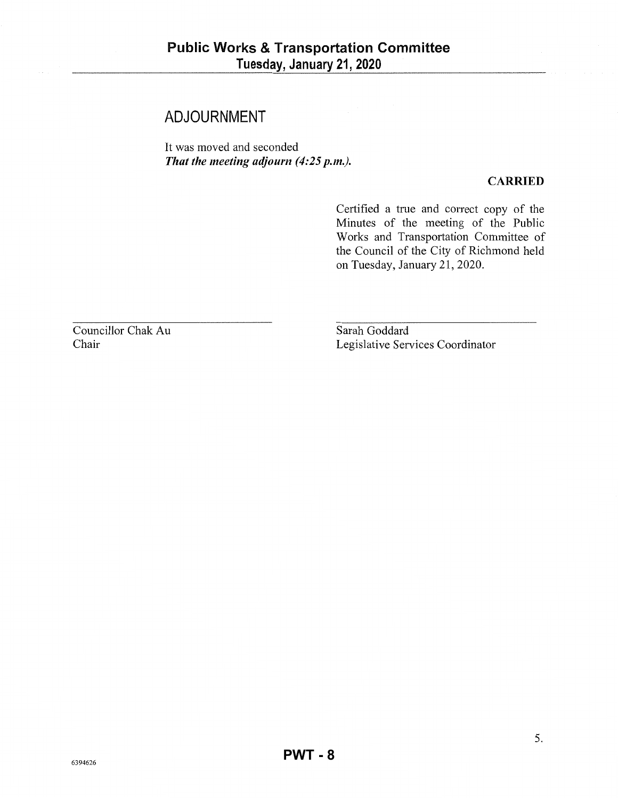## **ADJOURNMENT**

It was moved and seconded *That the meeting adjourn (4:25 p.m.).* 

### **CARRIED**

Certified a true and correct copy of the Minutes of the meeting of the Public Works and Transportation Committee of the Council of the City of Richmond held on Tuesday, January 21, 2020.

Councillor Chak Au Chair

Sarah Goddard Legislative Services Coordinator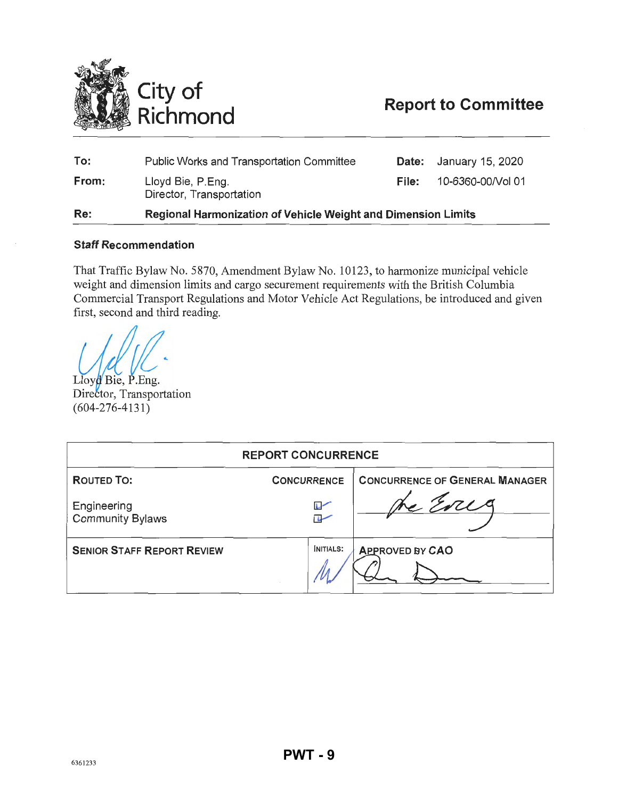<span id="page-8-0"></span>

| Re:   | Regional Harmonization of Vehicle Weight and Dimension Limits |       |                   |
|-------|---------------------------------------------------------------|-------|-------------------|
| From: | Lloyd Bie, P.Eng.<br>Director, Transportation                 | File: | 10-6360-00/Vol 01 |
| To:   | <b>Public Works and Transportation Committee</b>              | Date: | January 15, 2020  |

#### Staff Recommendation

That Traffic Bylaw No. 5870, Amendment Bylaw No. 10123, to harmonize municipal vehicle weight and dimension limits and cargo securement requirements with the British Columbia Commercial Transport Regulations and Motor Vehicle Act Regulations, be introduced and given first, second and third reading.

Lloyd Bie, P.Eng. Director, Transportation  $(604-276-4131)$ 

| <b>REPORT CONCURRENCE</b>              |                          |                                       |  |
|----------------------------------------|--------------------------|---------------------------------------|--|
| <b>ROUTED TO:</b>                      | <b>CONCURRENCE</b>       | <b>CONCURRENCE OF GENERAL MANAGER</b> |  |
| Engineering<br><b>Community Bylaws</b> | $\sim$<br>$\overline{L}$ |                                       |  |
| <b>SENIOR STAFF REPORT REVIEW</b>      | INITIALS:                | <b>APPROVED BY CAO</b>                |  |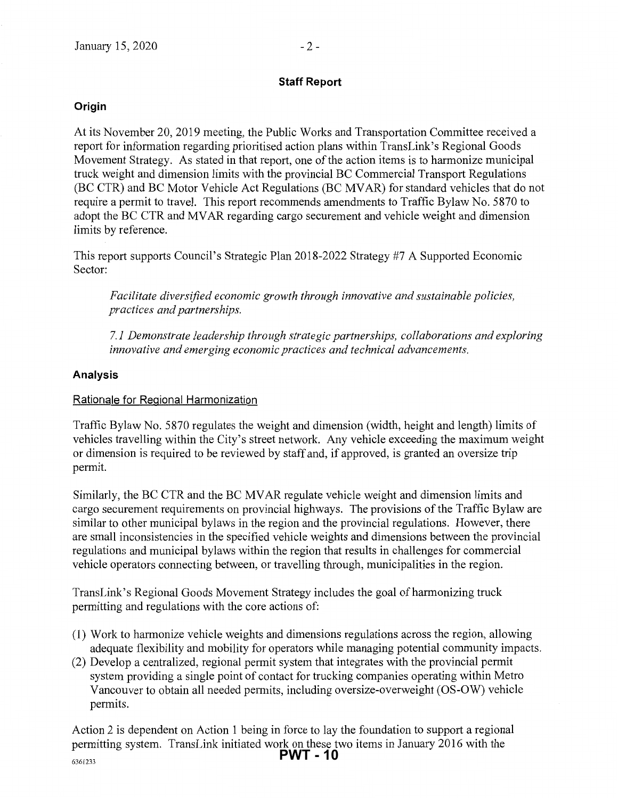## **Staff Report**

## **Origin**

At its November 20,2019 meeting, the Public Works and Transportation Committee received a report for information regarding prioritised action plans within TransLink's Regional Goods Movement Strategy. As stated in that report, one of the action items is to harmonize municipal truck weight and dimension limits with the provincial BC Commercial Transport Regulations (BC CTR) and BC Motor Vehicle Act Regulations (BC MV AR) for standard vehicles that do not require a permit to travel. This report recommends amendments to Traffic Bylaw No. 5870 to adopt the BC CTR and MV AR regarding cargo securement and vehicle weight and dimension limits by reference.

This report supports Council's Strategic Plan 2018-2022 Strategy #7 A Supported Economic Sector:

*Facilitate diversified economic growth through innovative and sustainable policies, practices and partnerships.* 

*7.1 Demonstrate leadership through strategic partnerships, collaborations and exploring innovative and emerging economic practices and technical advancements.* 

## **Analysis**

#### Rationale for Regional Harmonization

Traffic Bylaw No. 5870 regulates the weight and dimension (width, height and length) limits of vehicles travelling within the City's street network. Any vehicle exceeding the maximum weight or dimension is required to be reviewed by staff and, if approved, is granted an oversize trip permit.

Similarly, the BC CTR and the BC MV AR regulate vehicle weight and dimension limits and cargo securement requirements on provincial highways. The provisions of the Traffic Bylaw are similar to other municipal bylaws in the region and the provincial regulations. However, there are small inconsistencies in the specified vehicle weights and dimensions between the provincial regulations and municipal bylaws within the region that results in challenges for commercial vehicle operators connecting between, or travelling through, municipalities in the region.

TransLink's Regional Goods Movement Strategy includes the goal of harmonizing truck permitting and regulations with the core actions of:

- (1) Work to harmonize vehicle weights and dimensions regulations across the region, allowing adequate flexibility and mobility for operators while managing potential community impacts.
- (2) Develop a centralized, regional permit system that integrates with the provincial permit system providing a single point of contact for trucking companies operating within Metro Vancouver to obtain all needed permits, including oversize-overweight (OS-OW) vehicle permits.

Action 2 is dependent on Action 1 being in force to lay the foundation to support a regional permitting system. TransLink initiated work on these two items in January 2016 with the **PWT - 10**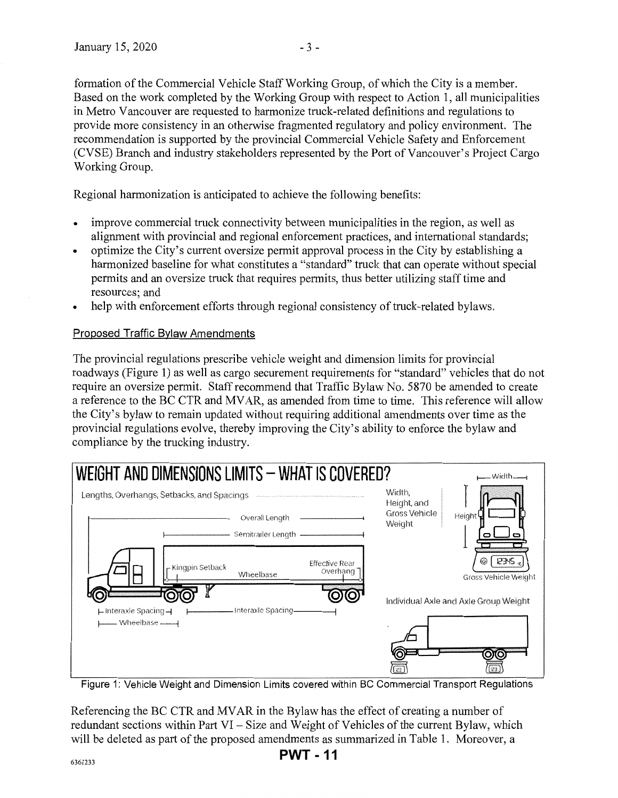formation of the Commercial Vehicle Staff Working Group, of which the City is a member. Based on the work completed by the Working Group with respect to Action 1, all municipalities in Metro Vancouver are requested to harmonize truck-related definitions and regulations to provide more consistency in an otherwise fragmented regulatory and policy environment. The recommendation is supported by the provincial Commercial Vehicle Safety and Enforcement (CVSE) Branch and industry stakeholders represented by the Port of Vancouver's Project Cargo Working Group.

Regional harmonization is anticipated to achieve the following benefits:

- improve commercial truck connectivity between municipalities in the region, as well as alignment with provincial and regional enforcement practices, and international standards;
- optimize the City's current oversize permit approval process in the City by establishing a harmonized baseline for what constitutes a "standard" truck that can operate without special permits and an oversize truck that requires permits, thus better utilizing staff time and resources; and
- help with enforcement efforts through regional consistency of truck-related bylaws.

#### Proposed Traffic Bylaw Amendments

The provincial regulations prescribe vehicle weight and dimension limits for provincial roadways (Figure 1) as well as cargo securement requirements for "standard" vehicles that do not require an oversize permit. Staff recommend that Traffic Bylaw No. 5870 be amended to create a reference to the BC CTR and MV AR, as amended from time to time. This reference will allow the City's bylaw to remain updated without requiring additional amendments over time as the provincial regulations evolve, thereby improving the City's ability to enforce the bylaw and compliance by the trucking industry.

![](_page_10_Figure_9.jpeg)

Figure 1: Vehicle Weight and Dimension Limits covered within BC Commercial Transport Regulations

Referencing the BC CTR and MV AR in the Bylaw has the effect of creating a number of redundant sections within Part VI $-Size$  and Weight of Vehicles of the current Bylaw, which will be deleted as part of the proposed amendments as summarized in Table 1. Moreover, a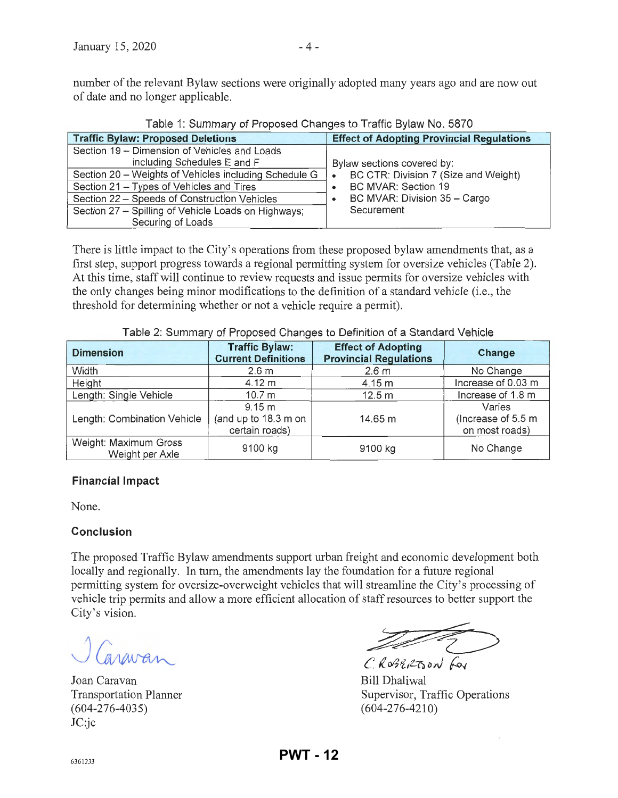| <b>Traffic Bylaw: Proposed Deletions</b>              | <b>Effect of Adopting Provincial Regulations</b> |  |  |  |
|-------------------------------------------------------|--------------------------------------------------|--|--|--|
| Section 19 - Dimension of Vehicles and Loads          |                                                  |  |  |  |
| including Schedules E and F                           | Bylaw sections covered by:                       |  |  |  |
| Section 20 – Weights of Vehicles including Schedule G | BC CTR: Division 7 (Size and Weight)             |  |  |  |
| Section 21 - Types of Vehicles and Tires              | BC MVAR: Section 19                              |  |  |  |
| Section 22 - Speeds of Construction Vehicles          | BC MVAR: Division 35 - Cargo                     |  |  |  |
| Section 27 - Spilling of Vehicle Loads on Highways;   | Securement                                       |  |  |  |
| Securing of Loads                                     |                                                  |  |  |  |

Table 1: Summary of Proposed Changes to Traffic Bylaw No. 5870

There is little impact to the City's operations from these proposed bylaw amendments that, as a first step, support progress towards a regional permitting system for oversize vehicles (Table 2). At this time, staff will continue to review requests and issue permits for oversize vehicles with the only changes being minor modifications to the definition of a standard vehicle (i.e., the threshold for determining whether or not a vehicle require a permit).

| <b>Dimension</b>                         | <b>Traffic Bylaw:</b><br><b>Current Definitions</b> | <b>Effect of Adopting</b><br><b>Provincial Regulations</b> | Change                                         |
|------------------------------------------|-----------------------------------------------------|------------------------------------------------------------|------------------------------------------------|
| Width                                    | 2.6 <sub>m</sub>                                    | 2.6 <sub>m</sub>                                           | No Change                                      |
| Height                                   | $4.12 \text{ m}$                                    | 4.15 m                                                     | Increase of 0.03 m                             |
| Length: Single Vehicle                   | 10.7 m                                              | 12.5 m                                                     | Increase of 1.8 m                              |
| Length: Combination Vehicle              | 9.15 m<br>(and up to 18.3 m on<br>certain roads)    | 14.65 m                                                    | Varies<br>(Increase of 5.5 m<br>on most roads) |
| Weight: Maximum Gross<br>Weight per Axle | 9100 kg                                             | 9100 kg                                                    | No Change                                      |

Table 2: Summary of Proposed Changes to Definition of a Standard Vehicle

## **Financial Impact**

None.

## **Conclusion**

The proposed Traffic Bylaw amendments support urban freight and economic development both locally and regionally. In turn, the amendments lay the foundation for a future regional permitting system for oversize-overweight vehicles that will streamline the City's processing of vehicle trip permits and allow a more efficient allocation of staff resources to better support the City's vision. white and economic development both<br>dation for a future regional<br>streamline the City's processing of<br>taff resources to better support the<br> $\overbrace{\hspace{1.5cm}}$ <br> $\overbrace{\hspace{1.5cm}}$ <br> $\overbrace{\hspace{1.5cm}}$ <br> $\overbrace{\hspace{1.5cm}}$ <br> $\overbrace{\hspace{1.5cm}}$ <br> $\overbrace{\hspace{1$ 

J Caravan

Joan Caravan Transportation Planner (604-276-4035) JC:jc

*CROSERTSON* For

Bill Dhaliwal Supervisor, Traffic Operations (604-276-4210)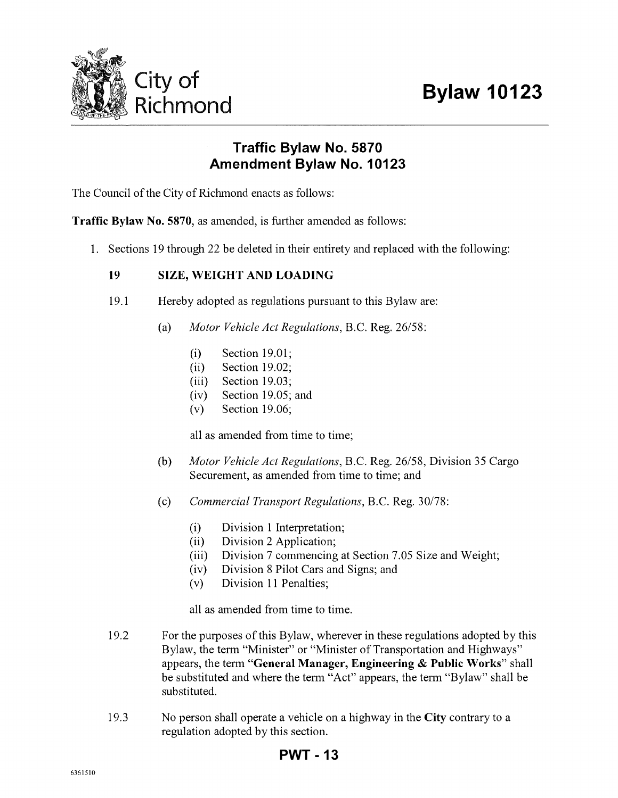![](_page_12_Picture_1.jpeg)

## **Traffic Bylaw No. 5870 Amendment Bylaw No. 10123**

The Council of the City of Richmond enacts as follows:

**Traffic Bylaw** No. **5870,** as amended, is further amended as follows:

1. Sections 19 through 22 be deleted in their entirety and replaced with the following:

## **19 SIZE, WEIGHT AND LOADING**

- 19.1 Hereby adopted as regulations pursuant to this Bylaw are:
	- (a) *Motor Vehicle Act Regulations,* B.C. Reg. 26/58:
		- (i) Section 19.01;
		- (ii) Section 19.02;
		- (iii) Section 19.03;
		- (iv) Section 19.05; and
		- (v) Section 19.06;

all as amended from time to time;

- (b) *Motor Vehicle Act Regulations,* B.C. Reg. 26/58, Division 35 Cargo Securement, as amended from time to time; and
- (c) *Commercial Transport Regulations,* B.C. Reg. 30/78:
	- (i) Division 1 Interpretation;
	- (ii) Division 2 Application;
	- (iii) Division 7 commencing at Section 7.05 Size and Weight;
	- (iv) Division 8 Pilot Cars and Signs; and
	- (v) Division 11 Penalties;

all as amended from time to time.

- 19.2 For the purposes of this Bylaw, wherever in these regulations adopted by this Bylaw, the term "Minister" or "Minister of Transportation and Highways" appears, the term **"General Manager, Engineering & Public Works"** shall be substituted and where the term "Act" appears, the term "Bylaw" shall be substituted.
- 19.3 No person shall operate a vehicle on a highway in the **City** contrary to a regulation adopted by this section.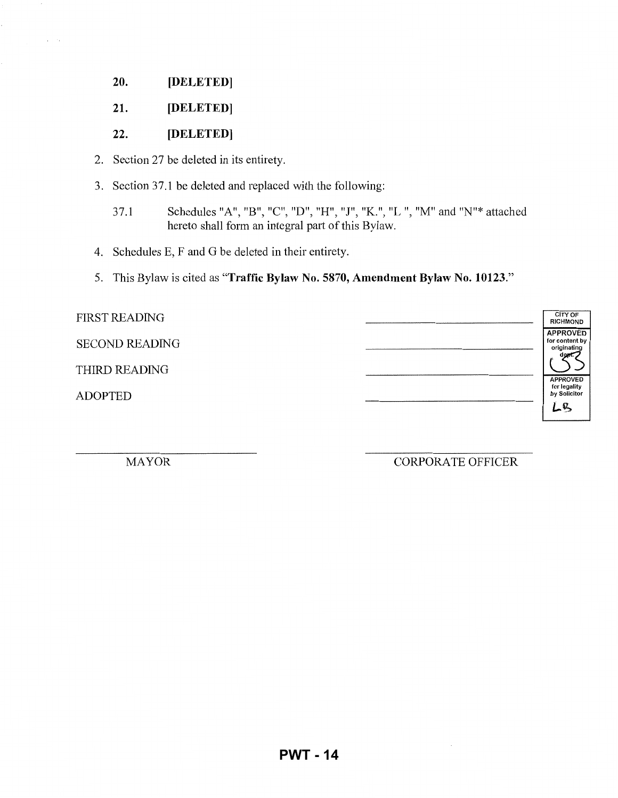- **20. [DELETED]**
- **21. [DELETED]**

### 22. **[DELETED]**

- 2. Section 27 be deleted in its entirety.
- 3. Section 37.1 be deleted and replaced with the following:
	- 37.1 Schedules "A", "B", "C", "D", "H", *"I",* "K.", "L ", "M" and "N"\* attached hereto shall form an integral part of this Bylaw.
- 4. Schedules E, F and G be deleted in their entirety.
- 5. This Bylaw is cited as **"Traffic Bylaw** No. **5870, Amendment Bylaw** No. **10123."**

| <b>FIRST READING</b>  | <b>CITY OF</b><br><b>RICHMOND</b>                        |  |
|-----------------------|----------------------------------------------------------|--|
| <b>SECOND READING</b> | <b>APPROVED</b><br>for content by<br>originating<br>aeo. |  |
| THIRD READING         | <b>APPROVED</b>                                          |  |
| <b>ADOPTED</b>        | for legality<br>by Solicitor<br>LB                       |  |

MAYOR CORPORATE OFFICER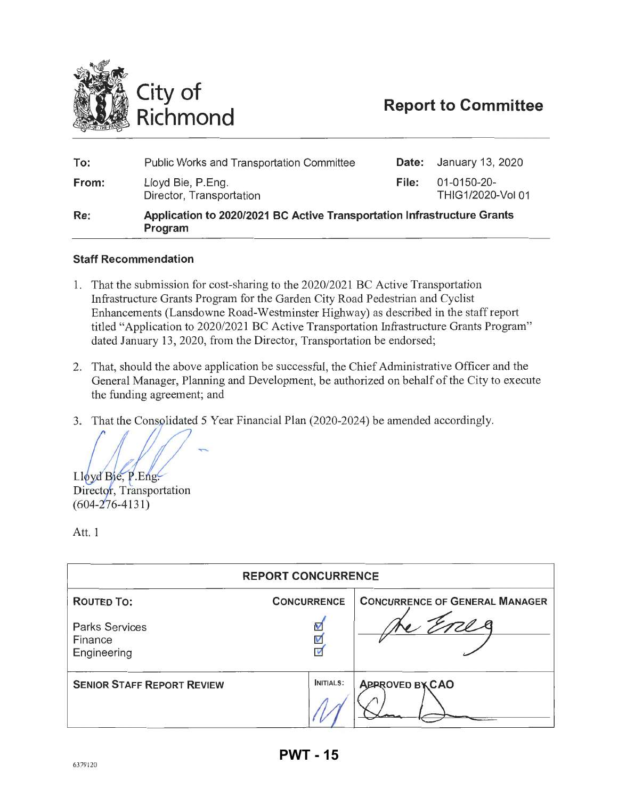<span id="page-14-0"></span>![](_page_14_Picture_0.jpeg)

| Re:   | Application to 2020/2021 BC Active Transportation Infrastructure Grants<br>Program |       |                                  |
|-------|------------------------------------------------------------------------------------|-------|----------------------------------|
| From: | Lloyd Bie, P.Eng.<br>Director, Transportation                                      | File: | 01-0150-20-<br>THIG1/2020-Vol 01 |
| To:   | Public Works and Transportation Committee                                          |       | <b>Date:</b> January 13, 2020    |

#### **Staff Recommendation**

- 1. That the submission for cost-sharing to the 2020/2021 BC Active Transportation Infrastructure Grants Program for the Garden City Road Pedestrian and Cyclist Enhancements (Lansdowne Road-Westminster Highway) as described in the staff report titled "Application to 2020/2021 BC Active Transportation Infrastructure Grants Program" dated January 13, 2020, from the Director, Transportation be endorsed;
- 2. That, should the above application be successful, the Chief Administrative Officer and the General Manager, Planning and Development, be authorized on behalf of the City to execute the funding agreement; and
- 3. That the Consolidated 5 Year Financial Plan (2020-2024) be amended accordingly.

Lloyd Bie, P.Eng. Director, Transportation

 $(604 - 276 - 4131)$ 

Att. 1

| <b>REPORT CONCURRENCE</b>                       |                           |                                       |  |  |
|-------------------------------------------------|---------------------------|---------------------------------------|--|--|
| <b>ROUTED TO:</b>                               | <b>CONCURRENCE</b>        | <b>CONCURRENCE OF GENERAL MANAGER</b> |  |  |
| <b>Parks Services</b><br>Finance<br>Engineering | V<br>$\frac{1}{\sqrt{2}}$ |                                       |  |  |
| <b>SENIOR STAFF REPORT REVIEW</b>               | <b>INITIALS:</b>          | <b>APPROVED BXCAO</b>                 |  |  |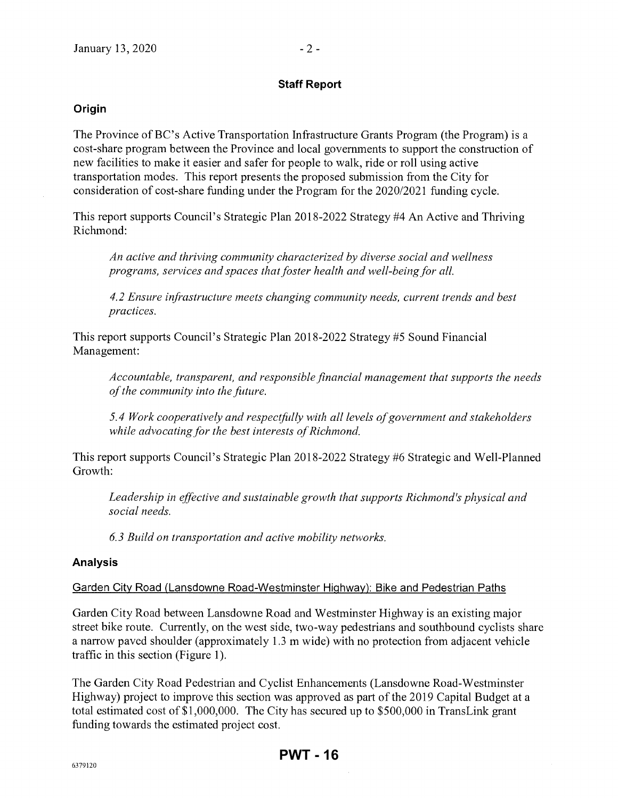#### **Staff Report**

#### **Origin**

The Province of BC's Active Transportation Infrastructure Grants Program (the Program) is a cost-share program between the Province and local governments to support the construction of new facilities to make it easier and safer for people to walk, ride or roll using active transportation modes. This report presents the proposed submission from the City for consideration of cost-share funding under the Program for the 2020/2021 funding cycle.

This report supports Council's Strategic Plan 2018-2022 Strategy #4 An Active and Thriving Richmond:

*An active and thriving community characterized by diverse social and wellness programs, services and spaces that foster health and well-being for all.* 

*4.2 Ensure infrastructure meets changing community needs, current trends and best practices.* 

This report supports Council's Strategic Plan 2018-2022 Strategy #5 Sound Financial Management:

*Accountable, transparent, and responsible financial management that supports the needs of the community into the fitture.* 

*5.4 Work cooperatively and respectfitlly with all levels of government and stakeholders while advocating for the best interests of Richmond.* 

This report supports Council's Strategic Plan 2018-2022 Strategy #6 Strategic and Well-Planned Growth:

*Leadership in effective and sustainable growth that supports Richmond's physical and social needs.* 

*6.3 Build on transportation and active mobility networks.* 

#### **Analysis**

#### Garden City Road (Lansdowne Road-Westminster Highway): Bike and Pedestrian Paths

Garden City Road between Lansdowne Road and Westminster Highway is an existing major street bike route. Currently, on the west side, two-way pedestrians and southbound cyclists share a narrow paved shoulder (approximately 1.3 m wide) with no protection from adjacent vehicle traffic in this section (Figure 1).

The Garden City Road Pedestrian and Cyclist Enhancements (Lansdowne Road-Westminster Highway) project to improve this section was approved as part of the 2019 Capital Budget at a total estimated cost of \$1,000,000. The City has secured up to \$500,000 in TransLink grant funding towards the estimated project cost.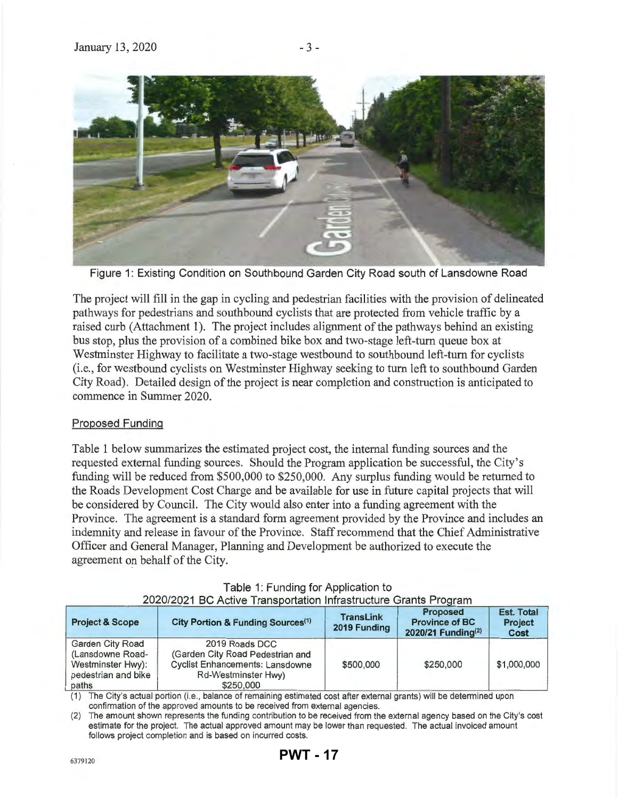![](_page_16_Picture_2.jpeg)

Figure 1: Existing Condition on Southbound Garden City Road south of Lansdowne Road

The project will fill in the gap in cycling and pedestrian facilities with the provision of delineated pathways for pedestrians and southbound cyclists that are protected from vehicle traffic by a raised curb (Attachment 1). The project includes alignment of the pathways behind an existing bus stop, plus the provision of a combined bike box and two-stage left-turn queue box at Westminster Highway to facilitate a two-stage westbound to southbound left-tum for cyclists (i.e., for westbound cyclists on Westminster Highway seeking to tum left to southbound Garden City Road). Detailed design of the project is near completion and construction is anticipated to commence in Summer 2020.

## Proposed Funding

Table 1 below summarizes the estimated project cost, the internal funding sources and the requested external funding sources. Should the Program application be successful, the City's funding will be reduced from \$500,000 to \$250,000. Any surplus funding would be returned to the Roads Development Cost Charge and be available for use in future capital projects that will be considered by Council. The City would also enter into a funding agreement with the Province. The agreement is a standard form agreement provided by the Province and includes an indemnity and release in favour of the Province. Staff recommend that the Chief Administrative Officer and General Manager, Planning and Development be authorized to execute the agreement on behalf of the City.

| <b>Project &amp; Scope</b>                                                                       | City Portion & Funding Sources <sup>(1)</sup>                                                                                    | <b>TransLink</b><br>2019 Funding | <b>Proposed</b><br><b>Province of BC</b><br>2020/21 Funding <sup>(2)</sup> | <b>Est. Total</b><br><b>Project</b><br>Cost |
|--------------------------------------------------------------------------------------------------|----------------------------------------------------------------------------------------------------------------------------------|----------------------------------|----------------------------------------------------------------------------|---------------------------------------------|
| <b>Garden City Road</b><br>(Lansdowne Road-<br>Westminster Hwy):<br>pedestrian and bike<br>paths | 2019 Roads DCC<br>(Garden City Road Pedestrian and<br><b>Cyclist Enhancements: Lansdowne</b><br>Rd-Westminster Hwy)<br>\$250,000 | \$500,000                        | \$250,000                                                                  | \$1,000,000                                 |

|  | Table 1: Funding for Application to |                                                                  |
|--|-------------------------------------|------------------------------------------------------------------|
|  |                                     | 2020/2021 BC Active Transportation Infrastructure Grants Program |

(1) The City's actual portion (i.e., balance of remaining estimated cost after external grants) will be determined upon confirmation of the approved amounts to be received from external agencies.

(2) The amount shown represents the funding contribution to be received from the external agency based on the City's cost estimate for the project. The actual approved amount may be lower than requested . The actual invoiced amount follows project completion and is based on incurred costs.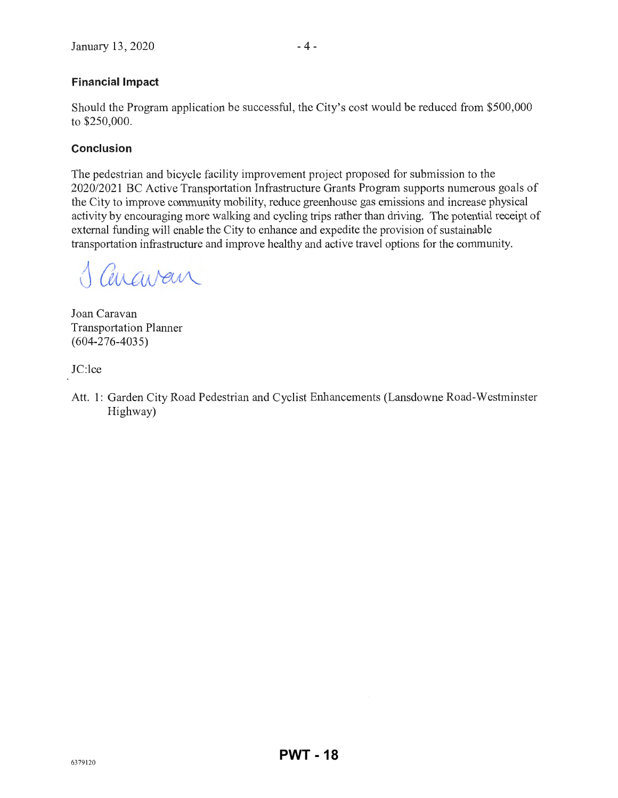## **Financial Impact**

Should the Program application be successful, the City's cost would be reduced from \$500,000 to \$250,000.

## **Conclusion**

The pedestrian and bicycle facility improvement project proposed for submission to the 2020/2021 BC Active Transportation Infrastructure Grants Program supports numerous goals of the City to improve conununity mobility, reduce greenhouse gas emissions and increase physical activity by encouraging more walking and cycling trips rather than driving. The potential receipt of external funding will enable the City to enhance and expedite the provision of sustainable transportation infrastructure and improve healthy and active travel options for the community.

Cenavan

Joan Caravan Transportation Planner (604-276-4035)

JC:lce

Att. 1: Garden City Road Pedestrian and Cyclist Enhancements (Lansdowne Road-Westminster Highway)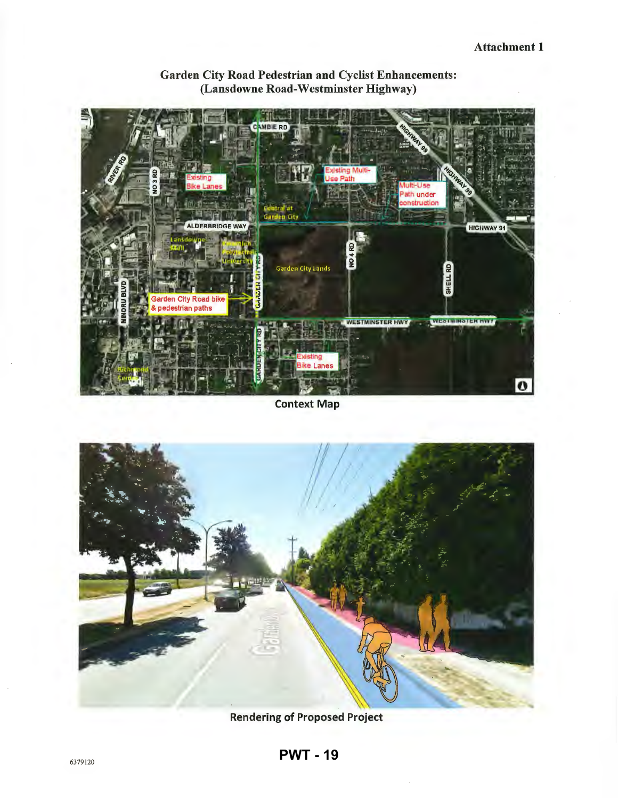![](_page_18_Figure_1.jpeg)

Garden City Road Pedestrian and Cyclist Enhancements: (Lansdowne Road-Westminster Highway)

## Context Map

![](_page_18_Picture_4.jpeg)

Rendering of Proposed Project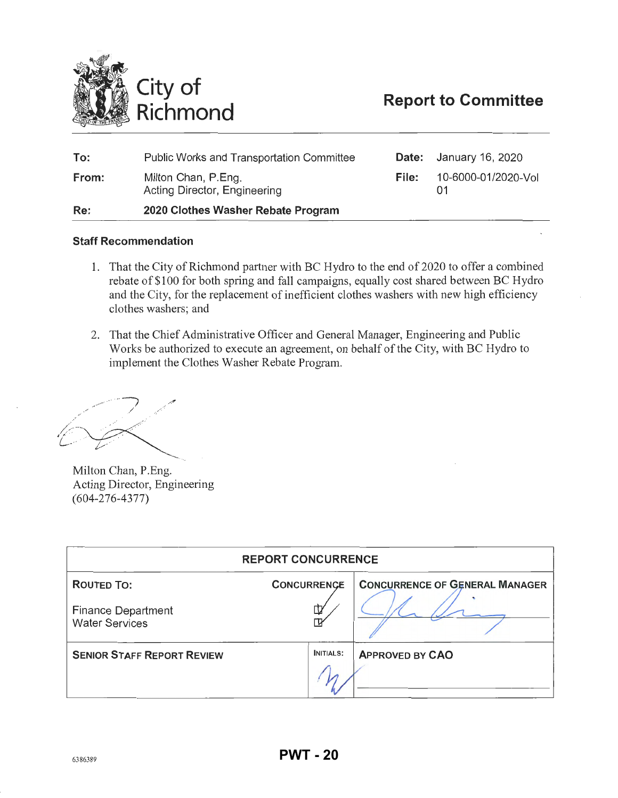<span id="page-19-0"></span>![](_page_19_Picture_0.jpeg)

| To:   | <b>Public Works and Transportation Committee</b>    |       | <b>Date:</b> January 16, 2020 |
|-------|-----------------------------------------------------|-------|-------------------------------|
| From: | Milton Chan, P.Eng.<br>Acting Director, Engineering | File: | 10-6000-01/2020-Vol           |
| Re:   | 2020 Clothes Washer Rebate Program                  |       |                               |

#### **Staff Recommendation**

- 1. That the City of Richmond partner with BC Hydro to the end of 2020 to offer a combined rebate of \$100 for both spring and fall campaigns, equally cost shared between BC Hydro and the City, for the replacement of inefficient clothes washers with new high efficiency clothes washers; and
- 2. That the Chief Administrative Officer and General Manager, Engineering and Public Works be authorized to execute an agreement, on behalf of the City, with BC Hydro to implement the Clothes Washer Rebate Program.

Milton Chan, P.Eng. Acting Director, Engineering (604-276-4377)

| <b>REPORT CONCURRENCE</b>                          |                    |                                       |  |  |
|----------------------------------------------------|--------------------|---------------------------------------|--|--|
| <b>ROUTED TO:</b>                                  | <b>CONCURRENCE</b> | <b>CONCURRENCE OF GENERAL MANAGER</b> |  |  |
| <b>Finance Department</b><br><b>Water Services</b> | ⋢                  |                                       |  |  |
| <b>SENIOR STAFF REPORT REVIEW</b>                  |                    | <b>APPROVED BY CAO</b>                |  |  |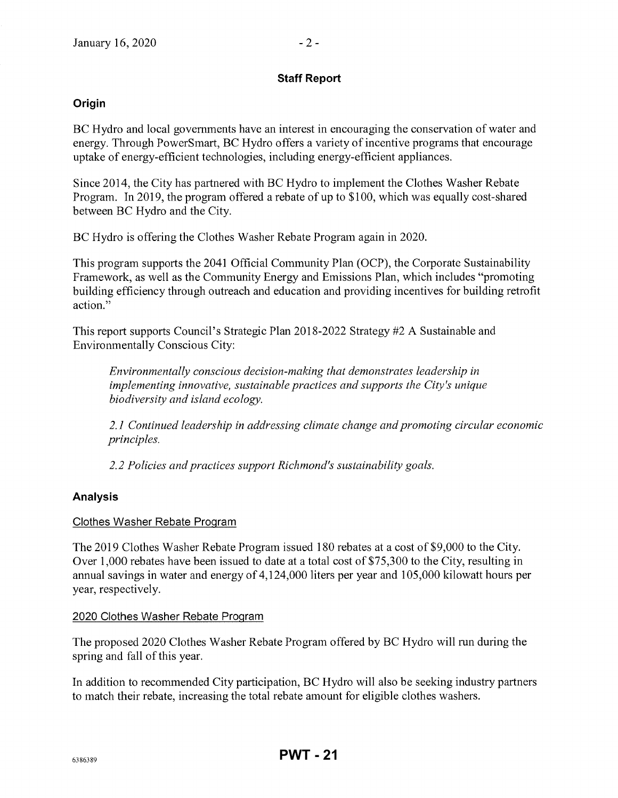## **Staff Report**

## **Origin**

BC Hydro and local governments have an interest in encouraging the conservation of water and energy. Through PowerSmart, BC Hydro offers a variety of incentive programs that encourage uptake of energy-efficient technologies, including energy-efficient appliances.

Since 2014, the City has partnered with BC Hydro to implement the Clothes Washer Rebate Program. In 2019, the program offered a rebate of up to \$100, which was equally cost-shared between BC Hydro and the City.

BC Hydro is offering the Clothes Washer Rebate Program again in 2020.

This program supports the 2041 Official Community Plan (OCP), the Corporate Sustainability Framework, as well as the Community Energy and Emissions Plan, which includes "promoting building efficiency through outreach and education and providing incentives for building retrofit action."

This report supports Council's Strategic Plan 2018-2022 Strategy #2 A Sustainable and Environmentally Conscious City:

*Environmentally conscious decision-making that demonstrates leadership in implementing innovative, sustainable practices and supports the City's unique biodiversity and island ecology.* 

*2.1 Continued leadership in addressing climate change and promoting circular economic principles.* 

*2.2 Policies and practices support Richmond's sustainability goals.* 

## **Analysis**

#### Clothes Washer Rebate Program

The 2019 Clothes Washer Rebate Program issued 180 rebates at a cost of\$9,000 to the City. Over 1,000 rebates have been issued to date at a total cost of \$75,300 to the City, resulting in annual savings in water and energy of 4,124,000 liters per year and 105,000 kilowatt hours per year, respectively.

#### 2020 Clothes Washer Rebate Program

The proposed 2020 Clothes Washer Rebate Program offered by BC Hydro will run during the spring and fall of this year.

In addition to recommended City participation, BC Hydro will also be seeking industry partners to match their rebate, increasing the total rebate amount for eligible clothes washers.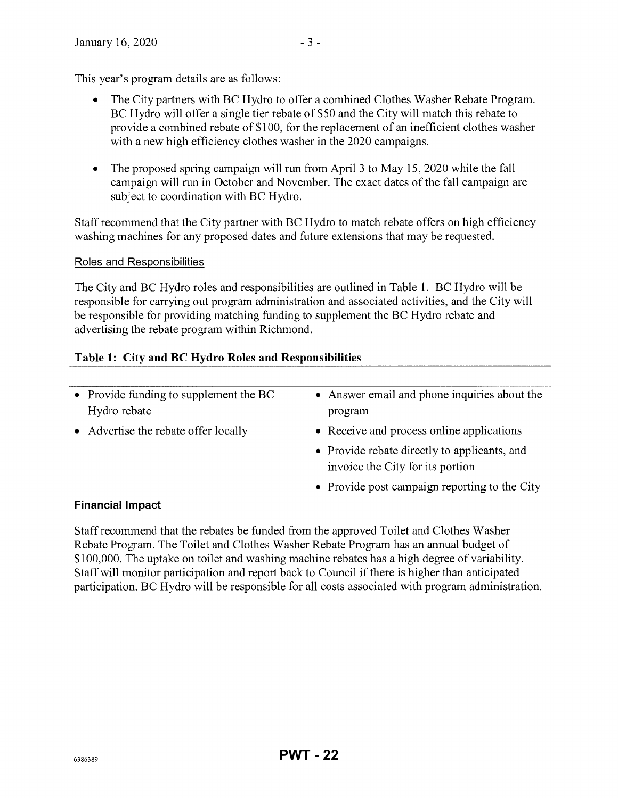This year's program details are as follows:

- The City partners with BC Hydro to offer a combined Clothes Washer Rebate Program. BC Hydro will offer a single tier rebate of \$50 and the City will match this rebate to provide a combined rebate of \$1 00, for the replacement of an inefficient clothes washer with a new high efficiency clothes washer in the 2020 campaigns.
- The proposed spring campaign will run from April 3 to May 15, 2020 while the fall campaign will run in October and November. The exact dates of the fall campaign are subject to coordination with BC Hydro.

Staff recommend that the City partner with BC Hydro to match rebate offers on high efficiency washing machines for any proposed dates and future extensions that may be requested.

## Roles and Responsibilities

The City and BC Hydro roles and responsibilities are outlined in Table 1. BC Hydro will be responsible for carrying out program administration and associated activities, and the City will be responsible for providing matching funding to supplement the BC Hydro rebate and advertising the rebate program within Richmond.

## **Table 1: City and BC Hydro Roles and Responsibilities**

| • Provide funding to supplement the BC<br>Hydro rebate | • Answer email and phone inquiries about the<br>program                          |  |
|--------------------------------------------------------|----------------------------------------------------------------------------------|--|
| • Advertise the rebate offer locally                   | • Receive and process online applications                                        |  |
|                                                        | • Provide rebate directly to applicants, and<br>invoice the City for its portion |  |
|                                                        | • Provide post campaign reporting to the City                                    |  |
| Einanoial Impact                                       |                                                                                  |  |

## **Financial Impact**

Staff recommend that the rebates be funded from the approved Toilet and Clothes Washer Rebate Program. The Toilet and Clothes Washer Rebate Program has an annual budget of \$100,000. The uptake on toilet and washing machine rebates has a high degree of variability. Staff will monitor participation and report back to Council if there is higher than anticipated participation. BC Hydro will be responsible for all costs associated with program administration.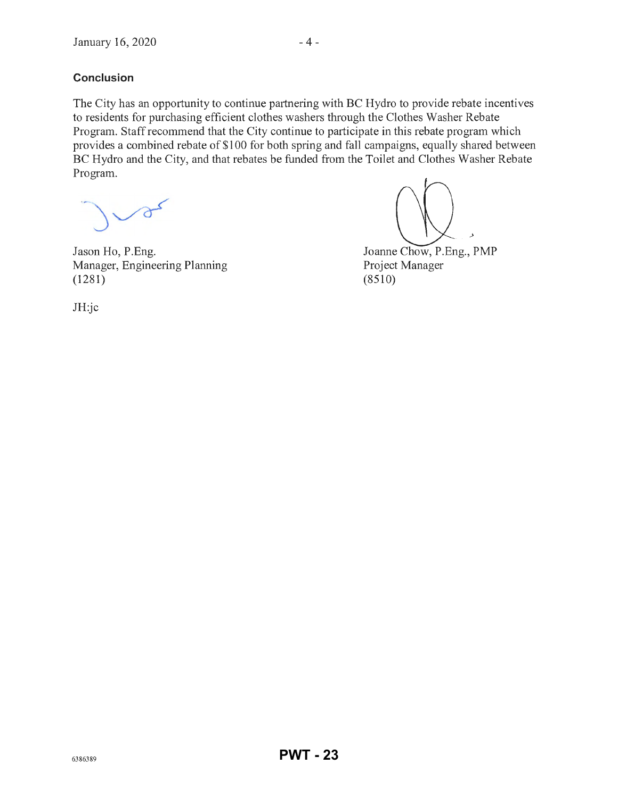## **Conclusion**

The City has an opportunity to continue partnering with BC Hydro to provide rebate incentives to residents for purchasing efficient clothes washers through the Clothes Washer Rebate Program. Staff recommend that the City continue to participate in this rebate program which provides a combined rebate of \$100 for both spring and fall campaigns, equally shared between BC Hydro and the City, and that rebates be funded from the Toilet and Clothes Washer Rebate Program.

Jason Ho, P.Eng. Manager, Engineering Planning (1281)

Joanne Chow, P.Eng., PMP Project Manager  $(8510)$ 

JH:jc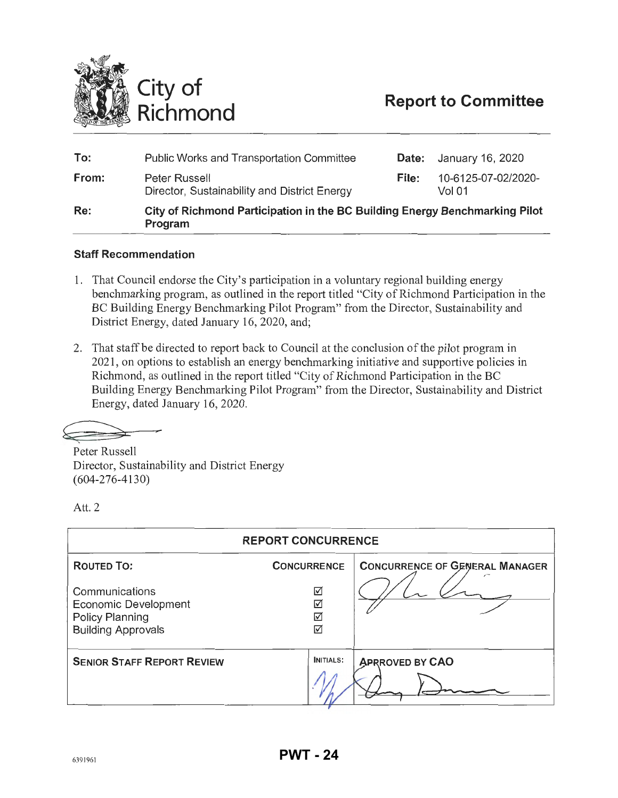<span id="page-23-0"></span>![](_page_23_Picture_0.jpeg)

| To:   | <b>Public Works and Transportation Committee</b>                                       | Date: | January 16, 2020              |
|-------|----------------------------------------------------------------------------------------|-------|-------------------------------|
| From: | Peter Russell<br>Director, Sustainability and District Energy                          | File: | 10-6125-07-02/2020-<br>Vol 01 |
| Re:   | City of Richmond Participation in the BC Building Energy Benchmarking Pilot<br>Program |       |                               |

#### **Staff Recommendation**

- 1. That Council endorse the City's participation in a voluntary regional building energy benchmarking program, as outlined in the report titled "City of Richmond Participation in the BC Building Energy Benchmarking Pilot Program" from the Director, Sustainability and District Energy, dated January 16, 2020, and;
- 2. That staff be directed to report back to Council at the conclusion of the pilot program in 2021 , on options to establish an energy benchmarking initiative and supportive policies in Richmond, as outlined in the report titled "City of Richmond Participation in the BC Building Energy Benchmarking Pilot Program" from the Director, Sustainability and District Energy, dated January 16, 2020.

--,

Peter Russell Director, Sustainability and District Energy (604-276-4130)

Att. 2

| <b>REPORT CONCURRENCE</b>                                                                     |                    |                                       |  |  |
|-----------------------------------------------------------------------------------------------|--------------------|---------------------------------------|--|--|
| <b>ROUTED TO:</b>                                                                             | <b>CONCURRENCE</b> | <b>CONCURRENCE OF GENERAL MANAGER</b> |  |  |
| Communications<br>Economic Development<br><b>Policy Planning</b><br><b>Building Approvals</b> | ☑<br>☑<br>☑<br>☑   |                                       |  |  |
| <b>SENIOR STAFF REPORT REVIEW</b>                                                             | <b>INITIALS:</b>   | <b>APRROVED BY CAO</b>                |  |  |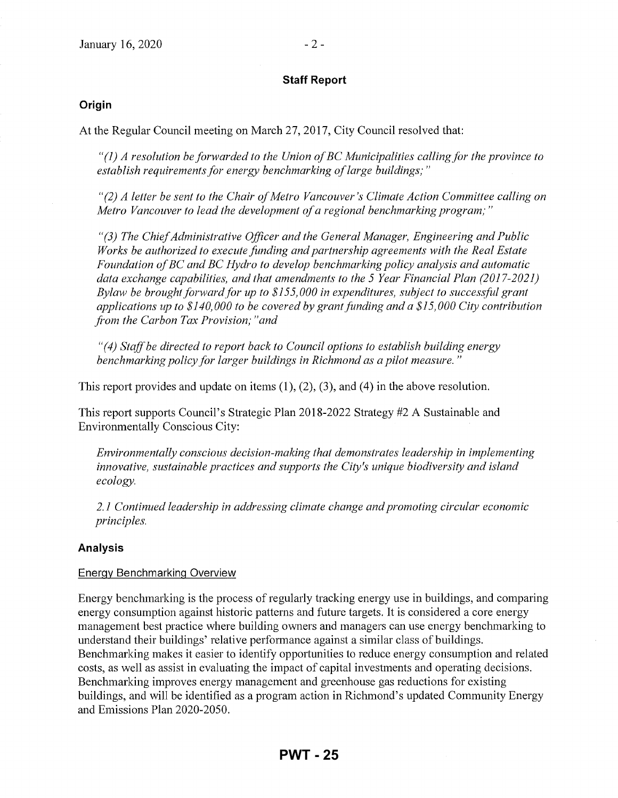#### **Staff Report**

#### **Origin**

At the Regular Council meeting on March 27, 2017, City Council resolved that:

*"(1) A resolution be forwarded to the Union of BC Municipalities calling for the province to establish requirements for energy benchmarking of large buildings;* "

*"(2) A letter be sent to the Chair of Metro Vancouver's Climate Action Committee calling on Metro Vancouver to lead the development of a regional benchmarking program;"* 

*"(3) The Chief Administrative Officer and the General Manager, Engineering and Public Works be authorized to execute fimding and partnership agreements with the Real Estate Foundation of BC and BC Hydro to develop benchmarking policy analysis and automatic data exchange capabilities, and that amendments to the 5 Year Financial Plan (2017-2021) Bylaw be brought forwardfor up to \$155,000 in expenditures, subject to successfitl grant applications up to \$140,000 to be covered by grant fimding and a \$15,000 City contribution fi'om the Carbon Tax Provision; "and* 

*"(4) Staff be directed to report back to Council options to establish building energy benchmarking policy for larger buildings in Richmond as a pilot measure.* "

This report provides and update on items  $(1)$ ,  $(2)$ ,  $(3)$ , and  $(4)$  in the above resolution.

This report supports Council's Strategic Plan 2018-2022 Strategy #2 A Sustainable and Environmentally Conscious City:

*Environmentally conscious decision-making that demonstrates leadership in implementing innovative, sustainable practices and supports the City's unique biodiversity and island ecology.* 

*2.1 Continued leadership in addressing climate change and promoting circular economic principles.* 

#### **Analysis**

#### Energy Benchmarking Overview

Energy benchmarking is the process of regularly tracking energy use in buildings, and comparing energy consumption against historic patterns and future targets. It is considered a core energy management best practice where building owners and managers can use energy benchmarking to understand their buildings' relative performance against a similar class of buildings. Benchmarking makes it easier to identify opportunities to reduce energy consumption and related costs, as well as assist in evaluating the impact of capital investments and operating decisions. Benchmarking improves energy management and greenhouse gas reductions for existing buildings, and will be identified as a program action in Richmond's updated Community Energy and Emissions Plan 2020-2050.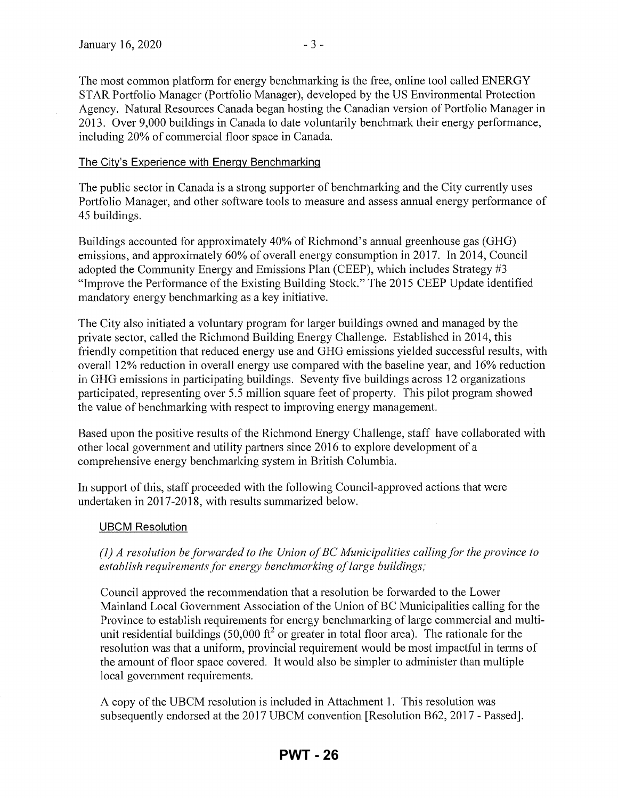The most common platform for energy benchmarking is the free, online tool called ENERGY STAR Portfolio Manager (Portfolio Manager), developed by the US Environmental Protection Agency. Natural Resources Canada began hosting the Canadian version of Portfolio Manager in 2013. Over 9,000 buildings in Canada to date voluntarily benchmark their energy performance, including 20% of commercial floor space in Canada.

#### The City's Experience with Energy Benchmarking

The public sector in Canada is a strong supporter of benchmarking and the City currently uses Portfolio Manager, and other software tools to measure and assess annual energy performance of 45 buildings.

Buildings accounted for approximately 40% of Richmond's annual greenhouse gas (GHG) emissions, and approximately 60% of overall energy consumption in 2017. In 2014, Council adopted the Community Energy and Emissions Plan (CEEP), which includes Strategy #3 "Improve the Performance of the Existing Building Stock." The 2015 CEEP Update identified mandatory energy benchmarking as a key initiative.

The City also initiated a voluntary program for larger buildings owned and managed by the private sector, called the Richmond Building Energy Challenge. Established in 2014, this friendly competition that reduced energy use and GHG emissions yielded successful results, with overall 12% reduction in overall energy use compared with the baseline year, and 16% reduction in GHG emissions in participating buildings. Seventy five buildings across 12 organizations participated, representing over 5.5 million square feet of property. This pilot program showed the value of benchmarking with respect to improving energy management.

Based upon the positive results of the Richmond Energy Challenge, staff have collaborated with other local government and utility partners since 2016 to explore development of a comprehensive energy benchmarking system in British Columbia.

In support of this, staff proceeded with the following Council-approved actions that were undertaken in 2017-2018, with results summarized below.

#### UBCM Resolution

*(1) A resolution be forwarded to the Union of BC Municipalities calling for the province to establish requirements for energy benchmarking of large buildings;* 

Council approved the recommendation that a resolution be forwarded to the Lower Mainland Local Government Association of the Union of BC Municipalities calling for the Province to establish requirements for energy benchmarking of large commercial and multiunit residential buildings (50,000  $\text{ft}^2$  or greater in total floor area). The rationale for the resolution was that a uniform, provincial requirement would be most impactful in terms of the amount of floor space covered. It would also be simpler to administer than multiple local government requirements.

A copy of the UBCM resolution is included in Attachment 1. This resolution was subsequently endorsed at the 2017 UBCM convention [Resolution B62, 2017- Passed].

## **PWT - 26**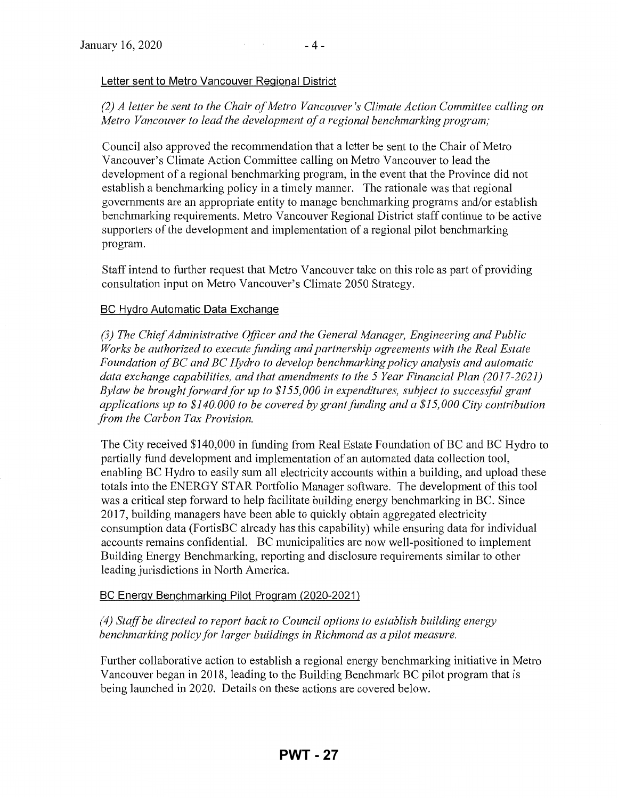#### Letter sent to Metro Vancouver Regional District

### *(2) A letter be sent to the Chair of Metro Vancouver's Climate Action Committee calling on Metro Vancouver to lead the development of a regional benchmarking program;*

Council also approved the recommendation that a letter be sent to the Chair of Metro Vancouver's Climate Action Committee calling on Metro Vancouver to lead the development of a regional benchmarking program, in the event that the Province did not establish a benchmarking policy in a timely manner. The rationale was that regional governments are an appropriate entity to manage benchmarking programs and/or establish benchmarking requirements. Metro Vancouver Regional District staff continue to be active supporters of the development and implementation of a regional pilot benchmarking program.

Staff intend to further request that Metro Vancouver take on this role as part of providing consultation input on Metro Vancouver's Climate 2050 Strategy.

#### BC Hydro Automatic Data Exchange

*(3) The Chief Administrative Officer and the General Manager, Engineering and Public Works be authorized to execute fimding and partnership agreements with the Real Estate Foundation of BC and BC Hydro to develop benchmarking policy analysis and automatic data exchange capabilities, and that amendments to the 5 Year Financial Plan (2017-2021) Bylaw be brought forward for up to \$155,000 in expenditures, subject to successful grant applications up to \$140,000 to be covered by grant fimding and a \$15,000 City contribution ji-om the Carbon Tax Provision.* 

The City received \$140,000 in funding from Real Estate Foundation of BC and BC Hydro to partially fund development and implementation of an automated data collection tool, enabling BC Hydro to easily sum all electricity accounts within a building, and upload these totals into the ENERGY STAR Portfolio Manager software. The development of this tool was a critical step forward to help facilitate building energy benchmarking in BC. Since 2017, building managers have been able to quickly obtain aggregated electricity consumption data (FortisBC already has this capability) while ensuring data for individual accounts remains confidential. BC municipalities are now well-positioned to implement Building Energy Benchmarking, reporting and disclosure requirements similar to other leading jurisdictions in North America.

#### BC Energy Benchmarking Pilot Program (2020-2021)

#### *(4) Staff be directed to report back to Council options to establish building energy benchmarking policy for larger buildings in Richmond as a pilot measure.*

Further collaborative action to establish a regional energy benchmarking initiative in Metro Vancouver began in 2018, leading to the Building Benchmark BC pilot program that is being launched in 2020. Details on these actions are covered below.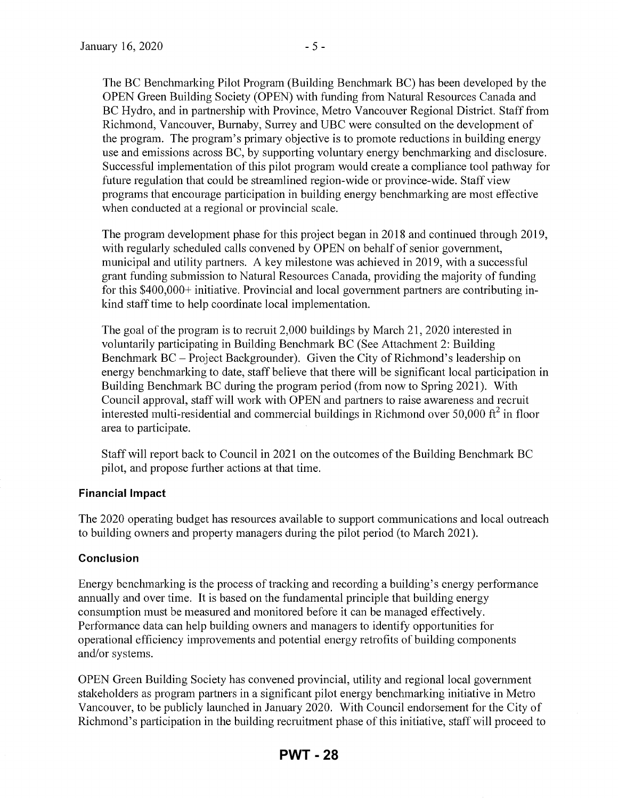The BC Benchmarking Pilot Program (Building Benchmark BC) has been developed by the OPEN Green Building Society (OPEN) with funding from Natural Resources Canada and BC Hydro, and in partnership with Province, Metro Vancouver Regional District. Staff from Richmond, Vancouver, Burnaby, Surrey and UBC were consulted on the development of the program. The program's primary objective is to promote reductions in building energy use and emissions across BC, by supporting voluntary energy benchmarking and disclosure. Successful implementation of this pilot program would create a compliance tool pathway for future regulation that could be streamlined region-wide or province-wide. Staff view programs that encourage participation in building energy benchmarking are most effective when conducted at a regional or provincial scale.

The program development phase for this project began in 2018 and continued through 2019, with regularly scheduled calls convened by OPEN on behalf of senior government, municipal and utility partners. A key milestone was achieved in 2019, with a successful grant funding submission to Natural Resources Canada, providing the majority of funding for this \$400,000+ initiative. Provincial and local government partners are contributing inkind staff time to help coordinate local implementation.

The goal of the program is to recruit  $2,000$  buildings by March 21, 2020 interested in voluntarily participating in Building Benchmark BC (See Attachment 2: Building Benchmark BC- Project Backgrounder). Given the City of Richmond's leadership on energy benchmarking to date, staff believe that there will be significant local participation in Building Benchmark BC during the program period (from now to Spring 2021 ). With Council approval, staff will work with OPEN and partners to raise awareness and recruit interested multi-residential and commercial buildings in Richmond over 50,000  $\text{ft}^2$  in floor area to participate.

Staff will report back to Council in 2021 on the outcomes of the Building Benchmark BC pilot, and propose further actions at that time.

#### **Financial Impact**

The 2020 operating budget has resources available to support communications and local outreach to building owners and property managers during the pilot period (to March 2021 ).

#### **Conclusion**

Energy benchmarking is the process of tracking and recording a building's energy performance annually and over time. It is based on the fundamental principle that building energy consumption must be measured and monitored before it can be managed effectively. Performance data can help building owners and managers to identify opportunities for operational efficiency improvements and potential energy retrofits of building components and/or systems.

OPEN Green Building Society has convened provincial, utility and regional local govermnent stakeholders as program partners in a significant pilot energy benchmarking initiative in Metro Vancouver, to be publicly launched in January 2020. With Council endorsement for the City of Richmond's participation in the building recruitment phase of this initiative, staff will proceed to

## **PWT - 28**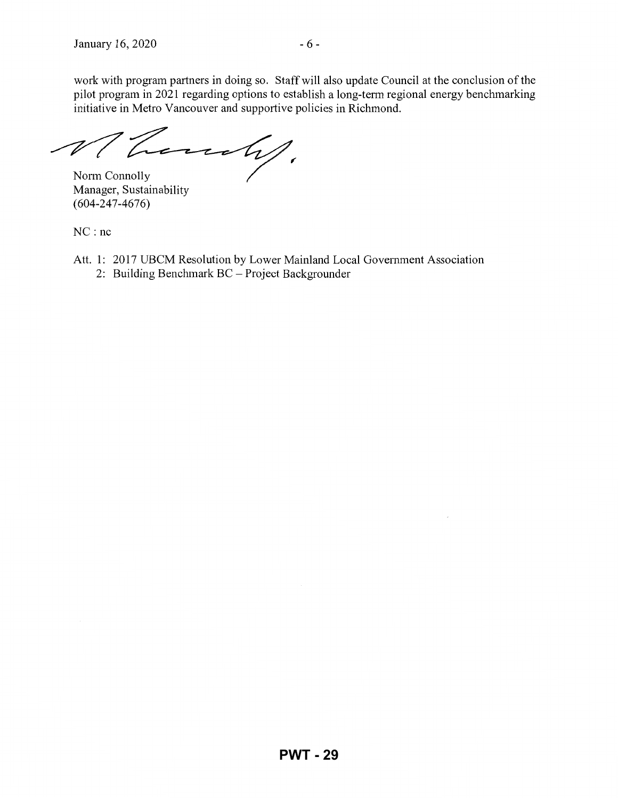work with program partners in doing so. Staff will also update Council at the conclusion of the pilot program in 2021 regarding options to establish a long-term regional energy benchmarking initiative in Metro Vancouver and supportive policies in Richmond.

 $\overline{\mathscr{U}}$ hours !!

Norm Connolly Manager, Sustainability (604-247-4676)

NC : nc

- Att. 1: 2017 UBCM Resolution by Lower Mainland Local Government Association
	- 2: Building Benchmark BC- Project Backgrounder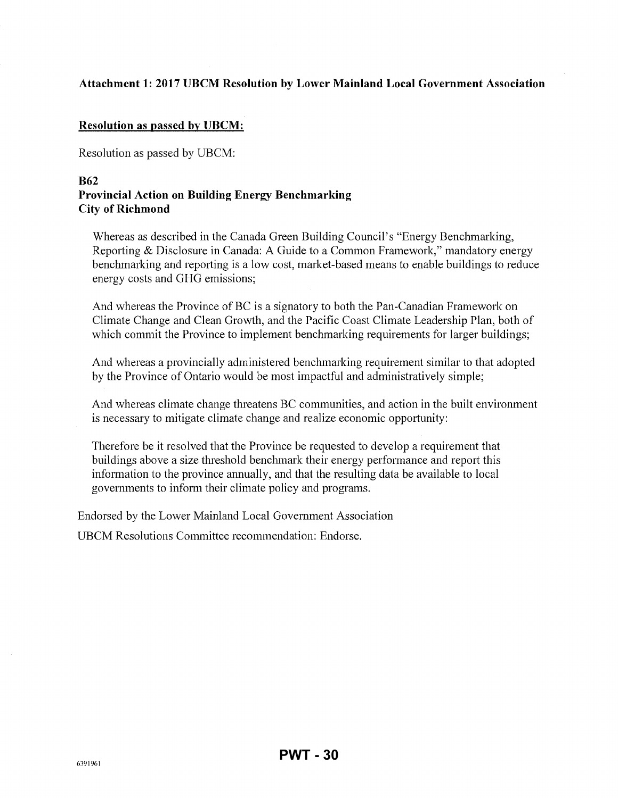### **Attachment 1: 2017 UBCM Resolution by Lower Mainland Local Government Association**

#### **Resolution as passed by UBCM:**

Resolution as passed by UBCM:

#### **B62 Provincial Action on Building Energy Benchmarking City of Richmond**

Whereas as described in the Canada Green Building Council's "Energy Benchmarking, Reporting & Disclosure in Canada: A Guide to a Common Framework," mandatory energy benchmarking and reporting is a low cost, market-based means to enable buildings to reduce energy costs and GHG emissions;

And whereas the Province of BC is a signatory to both the Pan-Canadian Framework on Climate Change and Clean Growth, and the Pacific Coast Climate Leadership Plan, both of which commit the Province to implement benchmarking requirements for larger buildings;

And whereas a provincially administered benchmarking requirement similar to that adopted by the Province of Ontario would be most impactful and administratively simple;

And whereas climate change threatens BC communities, and action in the built environment is necessary to mitigate climate change and realize economic opportunity:

Therefore be it resolved that the Province be requested to develop a requirement that buildings above a size threshold benchmark their energy performance and report this information to the province annually, and that the resulting data be available to local govermnents to inform their climate policy and programs.

Endorsed by the Lower Mainland Local Government Association

UBCM Resolutions Committee recommendation: Endorse.